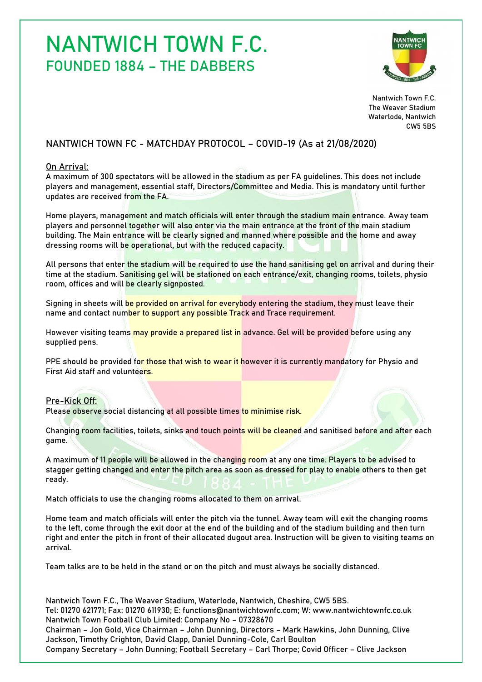# NANTWICH TOWN F.C. FOUNDED 1884 – THE DABBERS



Nantwich Town F.C. The Weaver Stadium Waterlode, Nantwich CW5 5BS

## NANTWICH TOWN FC - MATCHDAY PROTOCOL – COVID-19 (As at 21/08/2020)

### On Arrival:

A maximum of 300 spectators will be allowed in the stadium as per FA guidelines. This does not include players and management, essential staff, Directors/Committee and Media. This is mandatory until further updates are received from the FA.

Home players, management and match officials will enter through the stadium main entrance. Away team players and personnel together will also enter via the main entrance at the front of the main stadium building. The Main entrance will be clearly signed and manned where possible and the home and away dressing rooms will be operational, but with the reduced capacity.

All persons that enter the stadium will be required to use the hand sanitising gel on arrival and during their time at the stadium. Sanitising gel will be stationed on each entrance/exit, changing rooms, toilets, physio room, offices and will be clearly signposted.

Signing in sheets will be provided on arrival for everybody entering the stadium, they must leave their name and contact number to support any possible Track and Trace requirement.

However visiting teams may provide a prepared list in advance. Gel will be provided before using any supplied pens.

PPE should be provided for those that wish to wear it however it is currently mandatory for Physio and First Aid staff and volunteers.

### Pre-Kick Off:

Please observe social distancing at all possible times to minimise risk.

Changing room facilities, toilets, sinks and touch points will be cleaned and sanitised before and after each game.

A maximum of 11 people will be allowed in the changing room at any one time. Players to be advised to stagger getting changed and enter the pitch area as soon as dressed for play to enable others to then get ready.

Match officials to use the changing rooms allocated to them on arrival.

Home team and match officials will enter the pitch via the tunnel. Away team will exit the changing rooms to the left, come through the exit door at the end of the building and of the stadium building and then turn right and enter the pitch in front of their allocated dugout area. Instruction will be given to visiting teams on arrival.

Team talks are to be held in the stand or on the pitch and must always be socially distanced.

Nantwich Town F.C., The Weaver Stadium, Waterlode, Nantwich, Cheshire, CW5 5BS. Tel: 01270 621771; Fax: 01270 611930; E: functions@nantwichtownfc.com; W: www.nantwichtownfc.co.uk Nantwich Town Football Club Limited: Company No – 07328670 Chairman – Jon Gold, Vice Chairman – John Dunning, Directors – Mark Hawkins, John Dunning, Clive Jackson, Timothy Crighton, David Clapp, Daniel Dunning-Cole, Carl Boulton Company Secretary – John Dunning; Football Secretary – Carl Thorpe; Covid Officer – Clive Jackson